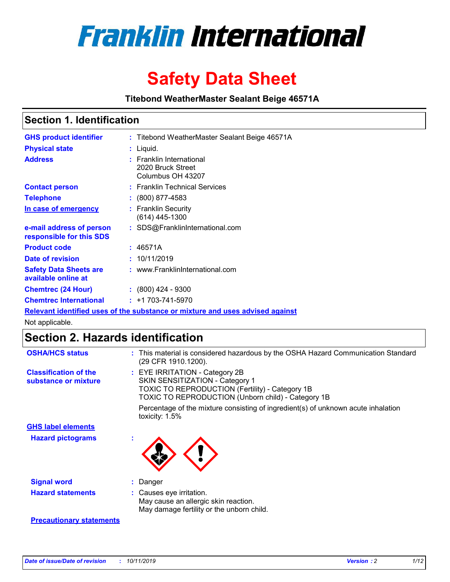

# **Safety Data Sheet**

**Titebond WeatherMaster Sealant Beige 46571A**

### **Section 1. Identification**

| <b>GHS product identifier</b>                        | : Titebond WeatherMaster Sealant Beige 46571A                                 |
|------------------------------------------------------|-------------------------------------------------------------------------------|
| <b>Physical state</b>                                | : Liquid.                                                                     |
| <b>Address</b>                                       | : Franklin International<br>2020 Bruck Street<br>Columbus OH 43207            |
| <b>Contact person</b>                                | : Franklin Technical Services                                                 |
| <b>Telephone</b>                                     | $\div$ (800) 877-4583                                                         |
| In case of emergency                                 | : Franklin Security<br>(614) 445-1300                                         |
| e-mail address of person<br>responsible for this SDS | : SDS@FranklinInternational.com                                               |
| <b>Product code</b>                                  | : 46571A                                                                      |
| Date of revision                                     | : 10/11/2019                                                                  |
| <b>Safety Data Sheets are</b><br>available online at | : www.FranklinInternational.com                                               |
| <b>Chemtrec (24 Hour)</b>                            | $\div$ (800) 424 - 9300                                                       |
| <b>Chemtrec International</b>                        | $: +1703 - 741 - 5970$                                                        |
|                                                      | Relevant identified uses of the substance or mixture and uses advised against |

Not applicable.

## **Section 2. Hazards identification**

| <b>OSHA/HCS status</b>                               | : This material is considered hazardous by the OSHA Hazard Communication Standard<br>(29 CFR 1910.1200).                                                                          |
|------------------------------------------------------|-----------------------------------------------------------------------------------------------------------------------------------------------------------------------------------|
| <b>Classification of the</b><br>substance or mixture | : EYE IRRITATION - Category 2B<br>SKIN SENSITIZATION - Category 1<br><b>TOXIC TO REPRODUCTION (Fertility) - Category 1B</b><br>TOXIC TO REPRODUCTION (Unborn child) - Category 1B |
|                                                      | Percentage of the mixture consisting of ingredient(s) of unknown acute inhalation<br>toxicity: $1.5\%$                                                                            |
| <b>GHS label elements</b>                            |                                                                                                                                                                                   |
| <b>Hazard pictograms</b>                             |                                                                                                                                                                                   |
| <b>Signal word</b>                                   | : Danger                                                                                                                                                                          |
| <b>Hazard statements</b>                             | : Causes eye irritation.<br>May cause an allergic skin reaction.<br>May damage fertility or the unborn child.                                                                     |
| <b>Precautionary statements</b>                      |                                                                                                                                                                                   |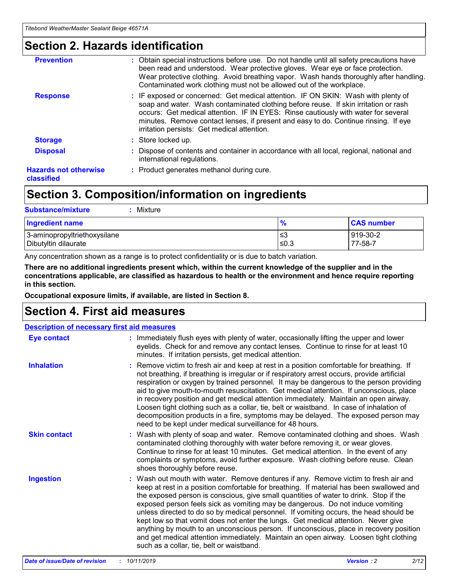### **Section 2. Hazards identification**

| <b>Prevention</b>                          | : Obtain special instructions before use. Do not handle until all safety precautions have<br>been read and understood. Wear protective gloves. Wear eye or face protection.<br>Wear protective clothing. Avoid breathing vapor. Wash hands thoroughly after handling.<br>Contaminated work clothing must not be allowed out of the workplace.                                                        |
|--------------------------------------------|------------------------------------------------------------------------------------------------------------------------------------------------------------------------------------------------------------------------------------------------------------------------------------------------------------------------------------------------------------------------------------------------------|
| <b>Response</b>                            | : IF exposed or concerned: Get medical attention. IF ON SKIN: Wash with plenty of<br>soap and water. Wash contaminated clothing before reuse. If skin irritation or rash<br>occurs: Get medical attention. IF IN EYES: Rinse cautiously with water for several<br>minutes. Remove contact lenses, if present and easy to do. Continue rinsing. If eye<br>irritation persists: Get medical attention. |
| <b>Storage</b>                             | : Store locked up.                                                                                                                                                                                                                                                                                                                                                                                   |
| <b>Disposal</b>                            | : Dispose of contents and container in accordance with all local, regional, national and<br>international regulations.                                                                                                                                                                                                                                                                               |
| <b>Hazards not otherwise</b><br>classified | : Product generates methanol during cure.                                                                                                                                                                                                                                                                                                                                                            |
|                                            |                                                                                                                                                                                                                                                                                                                                                                                                      |

### **Section 3. Composition/information on ingredients**

| <b>Substance/mixture</b><br>Mixture                  |                   |                     |
|------------------------------------------------------|-------------------|---------------------|
| <b>Ingredient name</b>                               | $\frac{9}{6}$     | <b>CAS number</b>   |
| 3-aminopropyltriethoxysilane<br>Dibutyltin dilaurate | l≤3<br>$\leq 0.3$ | 919-30-2<br>77-58-7 |

Any concentration shown as a range is to protect confidentiality or is due to batch variation.

**There are no additional ingredients present which, within the current knowledge of the supplier and in the concentrations applicable, are classified as hazardous to health or the environment and hence require reporting in this section.**

**Occupational exposure limits, if available, are listed in Section 8.**

### **Section 4. First aid measures**

| <b>Description of necessary first aid measures</b> |                                                                                                                                                                                                                                                                                                                                                                                                                                                                                                                                                                                                                                                                                                                                                                           |  |  |  |
|----------------------------------------------------|---------------------------------------------------------------------------------------------------------------------------------------------------------------------------------------------------------------------------------------------------------------------------------------------------------------------------------------------------------------------------------------------------------------------------------------------------------------------------------------------------------------------------------------------------------------------------------------------------------------------------------------------------------------------------------------------------------------------------------------------------------------------------|--|--|--|
| <b>Eye contact</b>                                 | : Immediately flush eyes with plenty of water, occasionally lifting the upper and lower<br>eyelids. Check for and remove any contact lenses. Continue to rinse for at least 10<br>minutes. If irritation persists, get medical attention.                                                                                                                                                                                                                                                                                                                                                                                                                                                                                                                                 |  |  |  |
| <b>Inhalation</b>                                  | : Remove victim to fresh air and keep at rest in a position comfortable for breathing. If<br>not breathing, if breathing is irregular or if respiratory arrest occurs, provide artificial<br>respiration or oxygen by trained personnel. It may be dangerous to the person providing<br>aid to give mouth-to-mouth resuscitation. Get medical attention. If unconscious, place<br>in recovery position and get medical attention immediately. Maintain an open airway.<br>Loosen tight clothing such as a collar, tie, belt or waistband. In case of inhalation of<br>decomposition products in a fire, symptoms may be delayed. The exposed person may<br>need to be kept under medical surveillance for 48 hours.                                                       |  |  |  |
| <b>Skin contact</b>                                | : Wash with plenty of soap and water. Remove contaminated clothing and shoes. Wash<br>contaminated clothing thoroughly with water before removing it, or wear gloves.<br>Continue to rinse for at least 10 minutes. Get medical attention. In the event of any<br>complaints or symptoms, avoid further exposure. Wash clothing before reuse. Clean<br>shoes thoroughly before reuse.                                                                                                                                                                                                                                                                                                                                                                                     |  |  |  |
| <b>Ingestion</b>                                   | : Wash out mouth with water. Remove dentures if any. Remove victim to fresh air and<br>keep at rest in a position comfortable for breathing. If material has been swallowed and<br>the exposed person is conscious, give small quantities of water to drink. Stop if the<br>exposed person feels sick as vomiting may be dangerous. Do not induce vomiting<br>unless directed to do so by medical personnel. If vomiting occurs, the head should be<br>kept low so that vomit does not enter the lungs. Get medical attention. Never give<br>anything by mouth to an unconscious person. If unconscious, place in recovery position<br>and get medical attention immediately. Maintain an open airway. Loosen tight clothing<br>such as a collar, tie, belt or waistband. |  |  |  |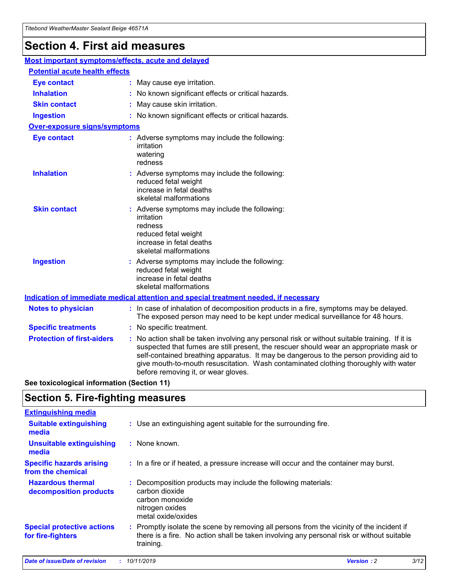## **Section 4. First aid measures**

| Most important symptoms/effects, acute and delayed |                                       |                                                                                                                                                                                                                                                                                                                                                                                                                 |  |  |  |
|----------------------------------------------------|---------------------------------------|-----------------------------------------------------------------------------------------------------------------------------------------------------------------------------------------------------------------------------------------------------------------------------------------------------------------------------------------------------------------------------------------------------------------|--|--|--|
|                                                    | <b>Potential acute health effects</b> |                                                                                                                                                                                                                                                                                                                                                                                                                 |  |  |  |
| <b>Eye contact</b>                                 |                                       | : May cause eye irritation.                                                                                                                                                                                                                                                                                                                                                                                     |  |  |  |
| <b>Inhalation</b>                                  |                                       | : No known significant effects or critical hazards.                                                                                                                                                                                                                                                                                                                                                             |  |  |  |
| <b>Skin contact</b>                                |                                       | : May cause skin irritation.                                                                                                                                                                                                                                                                                                                                                                                    |  |  |  |
| <b>Ingestion</b>                                   |                                       | : No known significant effects or critical hazards.                                                                                                                                                                                                                                                                                                                                                             |  |  |  |
| Over-exposure signs/symptoms                       |                                       |                                                                                                                                                                                                                                                                                                                                                                                                                 |  |  |  |
| <b>Eye contact</b>                                 |                                       | : Adverse symptoms may include the following:<br>irritation<br>watering<br>redness                                                                                                                                                                                                                                                                                                                              |  |  |  |
| <b>Inhalation</b>                                  |                                       | : Adverse symptoms may include the following:<br>reduced fetal weight<br>increase in fetal deaths<br>skeletal malformations                                                                                                                                                                                                                                                                                     |  |  |  |
| <b>Skin contact</b>                                |                                       | : Adverse symptoms may include the following:<br>irritation<br>redness<br>reduced fetal weight<br>increase in fetal deaths<br>skeletal malformations                                                                                                                                                                                                                                                            |  |  |  |
| <b>Ingestion</b>                                   |                                       | : Adverse symptoms may include the following:<br>reduced fetal weight<br>increase in fetal deaths<br>skeletal malformations                                                                                                                                                                                                                                                                                     |  |  |  |
|                                                    |                                       | <b>Indication of immediate medical attention and special treatment needed, if necessary</b>                                                                                                                                                                                                                                                                                                                     |  |  |  |
| <b>Notes to physician</b>                          |                                       | : In case of inhalation of decomposition products in a fire, symptoms may be delayed.<br>The exposed person may need to be kept under medical surveillance for 48 hours.                                                                                                                                                                                                                                        |  |  |  |
| <b>Specific treatments</b>                         |                                       | : No specific treatment.                                                                                                                                                                                                                                                                                                                                                                                        |  |  |  |
| <b>Protection of first-aiders</b>                  |                                       | : No action shall be taken involving any personal risk or without suitable training. If it is<br>suspected that fumes are still present, the rescuer should wear an appropriate mask or<br>self-contained breathing apparatus. It may be dangerous to the person providing aid to<br>give mouth-to-mouth resuscitation. Wash contaminated clothing thoroughly with water<br>before removing it, or wear gloves. |  |  |  |

**See toxicological information (Section 11)**

### **Section 5. Fire-fighting measures**

| <b>Extinguishing media</b>                             |                                                                                                                                                                                                     |
|--------------------------------------------------------|-----------------------------------------------------------------------------------------------------------------------------------------------------------------------------------------------------|
| <b>Suitable extinguishing</b><br>media                 | : Use an extinguishing agent suitable for the surrounding fire.                                                                                                                                     |
| <b>Unsuitable extinguishing</b><br>media               | $:$ None known.                                                                                                                                                                                     |
| <b>Specific hazards arising</b><br>from the chemical   | : In a fire or if heated, a pressure increase will occur and the container may burst.                                                                                                               |
| <b>Hazardous thermal</b><br>decomposition products     | : Decomposition products may include the following materials:<br>carbon dioxide<br>carbon monoxide<br>nitrogen oxides<br>metal oxide/oxides                                                         |
| <b>Special protective actions</b><br>for fire-fighters | : Promptly isolate the scene by removing all persons from the vicinity of the incident if<br>there is a fire. No action shall be taken involving any personal risk or without suitable<br>training. |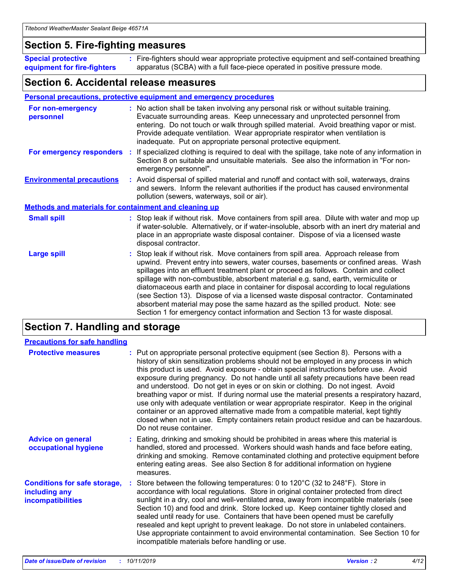### **Section 5. Fire-fighting measures**

**Special protective equipment for fire-fighters** Fire-fighters should wear appropriate protective equipment and self-contained breathing **:** apparatus (SCBA) with a full face-piece operated in positive pressure mode.

### **Section 6. Accidental release measures**

#### **Personal precautions, protective equipment and emergency procedures**

| For non-emergency<br>personnel                               | : No action shall be taken involving any personal risk or without suitable training.<br>Evacuate surrounding areas. Keep unnecessary and unprotected personnel from<br>entering. Do not touch or walk through spilled material. Avoid breathing vapor or mist.<br>Provide adequate ventilation. Wear appropriate respirator when ventilation is<br>inadequate. Put on appropriate personal protective equipment.                                                                                                                                                                                                                                                                                             |
|--------------------------------------------------------------|--------------------------------------------------------------------------------------------------------------------------------------------------------------------------------------------------------------------------------------------------------------------------------------------------------------------------------------------------------------------------------------------------------------------------------------------------------------------------------------------------------------------------------------------------------------------------------------------------------------------------------------------------------------------------------------------------------------|
|                                                              | For emergency responders : If specialized clothing is required to deal with the spillage, take note of any information in<br>Section 8 on suitable and unsuitable materials. See also the information in "For non-<br>emergency personnel".                                                                                                                                                                                                                                                                                                                                                                                                                                                                  |
| <b>Environmental precautions</b>                             | : Avoid dispersal of spilled material and runoff and contact with soil, waterways, drains<br>and sewers. Inform the relevant authorities if the product has caused environmental<br>pollution (sewers, waterways, soil or air).                                                                                                                                                                                                                                                                                                                                                                                                                                                                              |
| <b>Methods and materials for containment and cleaning up</b> |                                                                                                                                                                                                                                                                                                                                                                                                                                                                                                                                                                                                                                                                                                              |
| <b>Small spill</b>                                           | : Stop leak if without risk. Move containers from spill area. Dilute with water and mop up<br>if water-soluble. Alternatively, or if water-insoluble, absorb with an inert dry material and<br>place in an appropriate waste disposal container. Dispose of via a licensed waste<br>disposal contractor.                                                                                                                                                                                                                                                                                                                                                                                                     |
| <b>Large spill</b>                                           | : Stop leak if without risk. Move containers from spill area. Approach release from<br>upwind. Prevent entry into sewers, water courses, basements or confined areas. Wash<br>spillages into an effluent treatment plant or proceed as follows. Contain and collect<br>spillage with non-combustible, absorbent material e.g. sand, earth, vermiculite or<br>diatomaceous earth and place in container for disposal according to local regulations<br>(see Section 13). Dispose of via a licensed waste disposal contractor. Contaminated<br>absorbent material may pose the same hazard as the spilled product. Note: see<br>Section 1 for emergency contact information and Section 13 for waste disposal. |

### **Section 7. Handling and storage**

| <b>Precautions for safe handling</b>                                             |                                                                                                                                                                                                                                                                                                                                                                                                                                                                                                                                                                                                                                                                                                                                                                                                                                                  |
|----------------------------------------------------------------------------------|--------------------------------------------------------------------------------------------------------------------------------------------------------------------------------------------------------------------------------------------------------------------------------------------------------------------------------------------------------------------------------------------------------------------------------------------------------------------------------------------------------------------------------------------------------------------------------------------------------------------------------------------------------------------------------------------------------------------------------------------------------------------------------------------------------------------------------------------------|
| <b>Protective measures</b>                                                       | : Put on appropriate personal protective equipment (see Section 8). Persons with a<br>history of skin sensitization problems should not be employed in any process in which<br>this product is used. Avoid exposure - obtain special instructions before use. Avoid<br>exposure during pregnancy. Do not handle until all safety precautions have been read<br>and understood. Do not get in eyes or on skin or clothing. Do not ingest. Avoid<br>breathing vapor or mist. If during normal use the material presents a respiratory hazard,<br>use only with adequate ventilation or wear appropriate respirator. Keep in the original<br>container or an approved alternative made from a compatible material, kept tightly<br>closed when not in use. Empty containers retain product residue and can be hazardous.<br>Do not reuse container. |
| <b>Advice on general</b><br>occupational hygiene                                 | : Eating, drinking and smoking should be prohibited in areas where this material is<br>handled, stored and processed. Workers should wash hands and face before eating,<br>drinking and smoking. Remove contaminated clothing and protective equipment before<br>entering eating areas. See also Section 8 for additional information on hygiene<br>measures.                                                                                                                                                                                                                                                                                                                                                                                                                                                                                    |
| <b>Conditions for safe storage,</b><br>including any<br><b>incompatibilities</b> | : Store between the following temperatures: 0 to 120 $\degree$ C (32 to 248 $\degree$ F). Store in<br>accordance with local regulations. Store in original container protected from direct<br>sunlight in a dry, cool and well-ventilated area, away from incompatible materials (see<br>Section 10) and food and drink. Store locked up. Keep container tightly closed and<br>sealed until ready for use. Containers that have been opened must be carefully<br>resealed and kept upright to prevent leakage. Do not store in unlabeled containers.<br>Use appropriate containment to avoid environmental contamination. See Section 10 for<br>incompatible materials before handling or use.                                                                                                                                                   |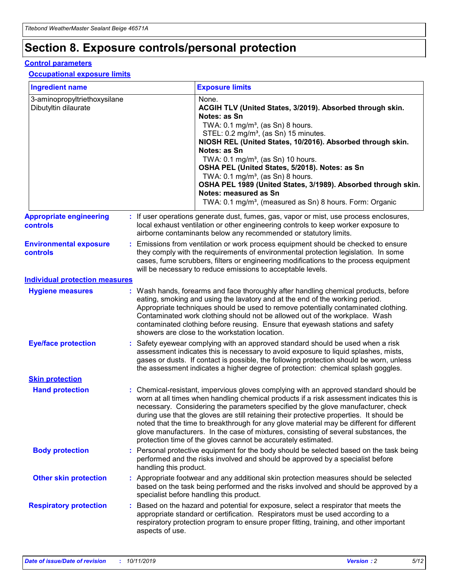## **Section 8. Exposure controls/personal protection**

#### **Control parameters**

#### **Occupational exposure limits**

| <b>Ingredient name</b>                               |    |                        | <b>Exposure limits</b>                                                                                                                                                                                                                                                                                                                                                                                                                                                                                                                                                                                                 |
|------------------------------------------------------|----|------------------------|------------------------------------------------------------------------------------------------------------------------------------------------------------------------------------------------------------------------------------------------------------------------------------------------------------------------------------------------------------------------------------------------------------------------------------------------------------------------------------------------------------------------------------------------------------------------------------------------------------------------|
| 3-aminopropyltriethoxysilane<br>Dibutyltin dilaurate |    |                        | None.<br>ACGIH TLV (United States, 3/2019). Absorbed through skin.<br>Notes: as Sn<br>TWA: $0.1 \text{ mg/m}^3$ , (as Sn) 8 hours.<br>STEL: 0.2 mg/m <sup>3</sup> , (as Sn) 15 minutes.<br>NIOSH REL (United States, 10/2016). Absorbed through skin.<br>Notes: as Sn<br>TWA: 0.1 mg/m <sup>3</sup> , (as Sn) 10 hours.<br>OSHA PEL (United States, 5/2018). Notes: as Sn<br>TWA: 0.1 mg/m <sup>3</sup> , (as Sn) 8 hours.<br>OSHA PEL 1989 (United States, 3/1989). Absorbed through skin.<br>Notes: measured as Sn<br>TWA: 0.1 mg/m <sup>3</sup> , (measured as Sn) 8 hours. Form: Organic                           |
| <b>Appropriate engineering</b><br>controls           |    |                        | : If user operations generate dust, fumes, gas, vapor or mist, use process enclosures,<br>local exhaust ventilation or other engineering controls to keep worker exposure to<br>airborne contaminants below any recommended or statutory limits.                                                                                                                                                                                                                                                                                                                                                                       |
| <b>Environmental exposure</b><br>controls            |    |                        | Emissions from ventilation or work process equipment should be checked to ensure<br>they comply with the requirements of environmental protection legislation. In some<br>cases, fume scrubbers, filters or engineering modifications to the process equipment<br>will be necessary to reduce emissions to acceptable levels.                                                                                                                                                                                                                                                                                          |
| <b>Individual protection measures</b>                |    |                        |                                                                                                                                                                                                                                                                                                                                                                                                                                                                                                                                                                                                                        |
| <b>Hygiene measures</b>                              |    |                        | : Wash hands, forearms and face thoroughly after handling chemical products, before<br>eating, smoking and using the lavatory and at the end of the working period.<br>Appropriate techniques should be used to remove potentially contaminated clothing.<br>Contaminated work clothing should not be allowed out of the workplace. Wash<br>contaminated clothing before reusing. Ensure that eyewash stations and safety<br>showers are close to the workstation location.                                                                                                                                            |
| <b>Eye/face protection</b>                           |    |                        | Safety eyewear complying with an approved standard should be used when a risk<br>assessment indicates this is necessary to avoid exposure to liquid splashes, mists,<br>gases or dusts. If contact is possible, the following protection should be worn, unless<br>the assessment indicates a higher degree of protection: chemical splash goggles.                                                                                                                                                                                                                                                                    |
| <b>Skin protection</b>                               |    |                        |                                                                                                                                                                                                                                                                                                                                                                                                                                                                                                                                                                                                                        |
| <b>Hand protection</b>                               |    |                        | : Chemical-resistant, impervious gloves complying with an approved standard should be<br>worn at all times when handling chemical products if a risk assessment indicates this is<br>necessary. Considering the parameters specified by the glove manufacturer, check<br>during use that the gloves are still retaining their protective properties. It should be<br>noted that the time to breakthrough for any glove material may be different for different<br>glove manufacturers. In the case of mixtures, consisting of several substances, the<br>protection time of the gloves cannot be accurately estimated. |
| <b>Body protection</b>                               |    | handling this product. | Personal protective equipment for the body should be selected based on the task being<br>performed and the risks involved and should be approved by a specialist before                                                                                                                                                                                                                                                                                                                                                                                                                                                |
| <b>Other skin protection</b>                         |    |                        | : Appropriate footwear and any additional skin protection measures should be selected<br>based on the task being performed and the risks involved and should be approved by a<br>specialist before handling this product.                                                                                                                                                                                                                                                                                                                                                                                              |
| <b>Respiratory protection</b>                        | ÷. | aspects of use.        | Based on the hazard and potential for exposure, select a respirator that meets the<br>appropriate standard or certification. Respirators must be used according to a<br>respiratory protection program to ensure proper fitting, training, and other important                                                                                                                                                                                                                                                                                                                                                         |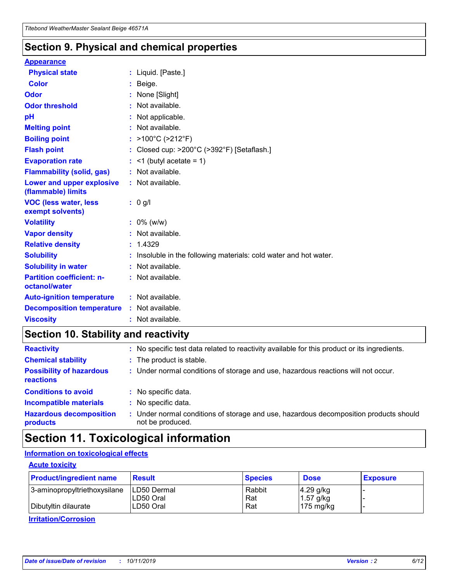### **Section 9. Physical and chemical properties**

#### **Appearance**

| <b>Physical state</b>                             | : Liquid. [Paste.]                                                |
|---------------------------------------------------|-------------------------------------------------------------------|
| Color                                             | Beige.                                                            |
| Odor                                              | None [Slight]                                                     |
| <b>Odor threshold</b>                             | : Not available.                                                  |
| рH                                                | : Not applicable.                                                 |
| <b>Melting point</b>                              | : Not available.                                                  |
| <b>Boiling point</b>                              | : $>100^{\circ}$ C ( $>212^{\circ}$ F)                            |
| <b>Flash point</b>                                | : Closed cup: $>200^{\circ}$ C ( $>392^{\circ}$ F) [Setaflash.]   |
| <b>Evaporation rate</b>                           | $:$ <1 (butyl acetate = 1)                                        |
| <b>Flammability (solid, gas)</b>                  | : Not available.                                                  |
| Lower and upper explosive<br>(flammable) limits   | : Not available.                                                  |
| <b>VOC (less water, less</b><br>exempt solvents)  | $: 0$ g/l                                                         |
| <b>Volatility</b>                                 | $: 0\%$ (w/w)                                                     |
| <b>Vapor density</b>                              | : Not available.                                                  |
| <b>Relative density</b>                           | : 1.4329                                                          |
| <b>Solubility</b>                                 | : Insoluble in the following materials: cold water and hot water. |
| <b>Solubility in water</b>                        | : Not available.                                                  |
| <b>Partition coefficient: n-</b><br>octanol/water | : Not available.                                                  |
| <b>Auto-ignition temperature</b>                  | : Not available.                                                  |
| <b>Decomposition temperature</b>                  | : Not available.                                                  |
| <b>Viscosity</b>                                  | : Not available.                                                  |

### **Section 10. Stability and reactivity**

| <b>Reactivity</b>                            |    | : No specific test data related to reactivity available for this product or its ingredients.            |
|----------------------------------------------|----|---------------------------------------------------------------------------------------------------------|
| <b>Chemical stability</b>                    |    | : The product is stable.                                                                                |
| <b>Possibility of hazardous</b><br>reactions |    | : Under normal conditions of storage and use, hazardous reactions will not occur.                       |
| <b>Conditions to avoid</b>                   |    | : No specific data.                                                                                     |
| <b>Incompatible materials</b>                | ٠. | No specific data.                                                                                       |
| <b>Hazardous decomposition</b><br>products   | ÷. | Under normal conditions of storage and use, hazardous decomposition products should<br>not be produced. |

## **Section 11. Toxicological information**

### **Information on toxicological effects**

#### **Acute toxicity**

| <b>Product/ingredient name</b> | <b>Result</b>           | <b>Species</b> | <b>Dose</b>                | <b>Exposure</b> |
|--------------------------------|-------------------------|----------------|----------------------------|-----------------|
| 3-aminopropyltriethoxysilane   | <b>ILD50 Dermal</b>     | Rabbit         | 4.29 g/kg                  |                 |
| Dibutyltin dilaurate           | ILD50 Oral<br>LD50 Oral | Rat<br>Rat     | $1.57$ g/kg<br>175 $mg/kg$ |                 |
|                                |                         |                |                            |                 |

**Irritation/Corrosion**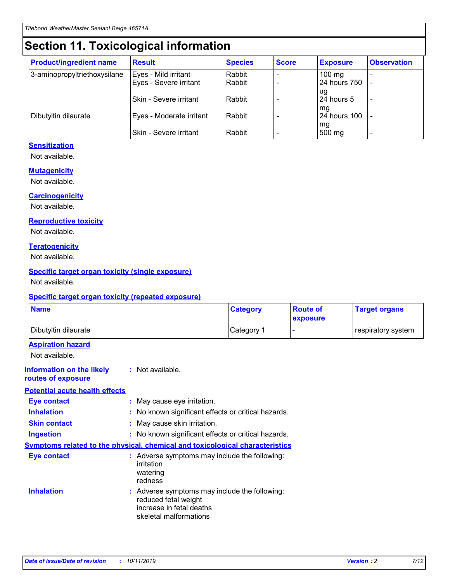## **Section 11. Toxicological information**

| <b>Product/ingredient name</b> | <b>Result</b>            | <b>Species</b> | <b>Score</b> | <b>Exposure</b>           | <b>Observation</b> |
|--------------------------------|--------------------------|----------------|--------------|---------------------------|--------------------|
| 3-aminopropyltriethoxysilane   | Eyes - Mild irritant     | Rabbit         |              | $100$ mg                  |                    |
|                                | Eyes - Severe irritant   | Rabbit         |              | 24 hours 750              |                    |
|                                |                          |                |              | ug                        |                    |
|                                | Skin - Severe irritant   | Rabbit         |              | 24 hours 5                | -                  |
| Dibutyltin dilaurate           | Eyes - Moderate irritant | Rabbit         |              | mq<br><b>24 hours 100</b> |                    |
|                                |                          |                |              | mg                        |                    |
|                                | Skin - Severe irritant   | Rabbit         |              | 500 mg                    |                    |

### **Sensitization**

Not available.

#### **Mutagenicity**

Not available.

#### **Carcinogenicity**

Not available.

#### **Reproductive toxicity**

Not available.

#### **Teratogenicity**

Not available.

#### **Specific target organ toxicity (single exposure)**

Not available.

#### **Specific target organ toxicity (repeated exposure)**

| <b>Name</b>                                                                  |                                                                                                                             | <b>Category</b> | <b>Route of</b><br>exposure  | <b>Target organs</b> |
|------------------------------------------------------------------------------|-----------------------------------------------------------------------------------------------------------------------------|-----------------|------------------------------|----------------------|
| Dibutyltin dilaurate                                                         |                                                                                                                             | Category 1      | $\qquad \qquad \blacksquare$ | respiratory system   |
| <b>Aspiration hazard</b><br>Not available.                                   |                                                                                                                             |                 |                              |                      |
| <b>Information on the likely</b><br>routes of exposure                       | : Not available.                                                                                                            |                 |                              |                      |
| <b>Potential acute health effects</b>                                        |                                                                                                                             |                 |                              |                      |
| <b>Eye contact</b>                                                           | : May cause eye irritation.                                                                                                 |                 |                              |                      |
| <b>Inhalation</b>                                                            | : No known significant effects or critical hazards.                                                                         |                 |                              |                      |
| <b>Skin contact</b>                                                          | : May cause skin irritation.                                                                                                |                 |                              |                      |
| <b>Ingestion</b>                                                             | : No known significant effects or critical hazards.                                                                         |                 |                              |                      |
| Symptoms related to the physical, chemical and toxicological characteristics |                                                                                                                             |                 |                              |                      |
| <b>Eye contact</b>                                                           | : Adverse symptoms may include the following:<br>irritation<br>watering<br>redness                                          |                 |                              |                      |
| <b>Inhalation</b>                                                            | : Adverse symptoms may include the following:<br>reduced fetal weight<br>increase in fetal deaths<br>skeletal malformations |                 |                              |                      |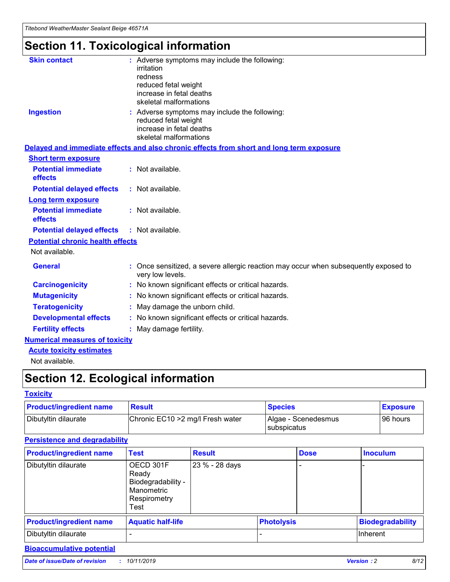## **Section 11. Toxicological information**

| <b>Skin contact</b>                     | : Adverse symptoms may include the following:                                                            |
|-----------------------------------------|----------------------------------------------------------------------------------------------------------|
|                                         | irritation                                                                                               |
|                                         | redness                                                                                                  |
|                                         | reduced fetal weight                                                                                     |
|                                         | increase in fetal deaths                                                                                 |
|                                         | skeletal malformations                                                                                   |
| <b>Ingestion</b>                        | : Adverse symptoms may include the following:                                                            |
|                                         | reduced fetal weight                                                                                     |
|                                         | increase in fetal deaths                                                                                 |
|                                         | skeletal malformations                                                                                   |
|                                         | Delayed and immediate effects and also chronic effects from short and long term exposure                 |
| <b>Short term exposure</b>              |                                                                                                          |
| <b>Potential immediate</b>              | : Not available.                                                                                         |
| effects                                 |                                                                                                          |
| <b>Potential delayed effects</b>        | : Not available.                                                                                         |
| Long term exposure                      |                                                                                                          |
| <b>Potential immediate</b>              | : Not available.                                                                                         |
| effects                                 |                                                                                                          |
| <b>Potential delayed effects</b>        | : Not available.                                                                                         |
| <b>Potential chronic health effects</b> |                                                                                                          |
| Not available.                          |                                                                                                          |
| <b>General</b>                          | : Once sensitized, a severe allergic reaction may occur when subsequently exposed to<br>very low levels. |
| <b>Carcinogenicity</b>                  | : No known significant effects or critical hazards.                                                      |
| <b>Mutagenicity</b>                     | : No known significant effects or critical hazards.                                                      |
| <b>Teratogenicity</b>                   | May damage the unborn child.                                                                             |
| <b>Developmental effects</b>            | : No known significant effects or critical hazards.                                                      |
| <b>Fertility effects</b>                | May damage fertility.                                                                                    |
| <b>Numerical measures of toxicity</b>   |                                                                                                          |
| <b>Acute toxicity estimates</b>         |                                                                                                          |
| الملمانة المستنقط فالمرابط              |                                                                                                          |

Not available.

## **Section 12. Ecological information**

#### **Toxicity**

| <b>Product/ingredient name</b> | <b>Result</b>                     | <b>Species</b>                       | <b>Exposure</b> |
|--------------------------------|-----------------------------------|--------------------------------------|-----------------|
| Dibutyltin dilaurate           | Chronic EC10 > 2 mg/l Fresh water | Algae - Scenedesmus<br>I subspicatus | l 96 hours      |

### **Persistence and degradability**

| <b>Product/ingredient name</b> | <b>Test</b>                                                                    | <b>Result</b>  |                   | <b>Dose</b> | <b>Inoculum</b>         |
|--------------------------------|--------------------------------------------------------------------------------|----------------|-------------------|-------------|-------------------------|
| Dibutyltin dilaurate           | OECD 301F<br>Ready<br>Biodegradability -<br>Manometric<br>Respirometry<br>Test | 23 % - 28 days |                   |             |                         |
| <b>Product/ingredient name</b> | <b>Aquatic half-life</b>                                                       |                | <b>Photolysis</b> |             | <b>Biodegradability</b> |
| Dibutyltin dilaurate           |                                                                                |                |                   |             | Inherent                |

### **Bioaccumulative potential**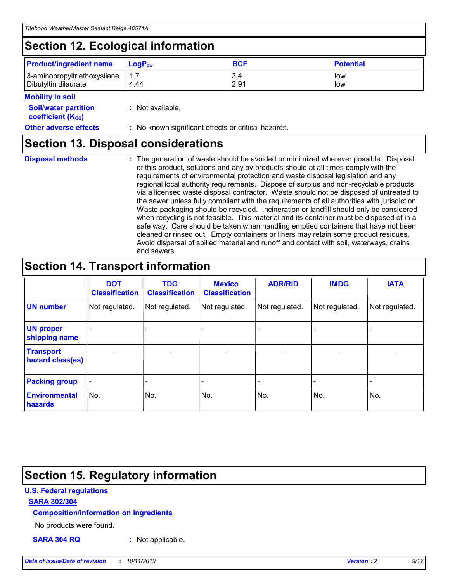## **Section 12. Ecological information**

| <b>Product/ingredient name</b> | $LoaPow$ | <b>BCF</b> | <b>Potential</b> |
|--------------------------------|----------|------------|------------------|
| 3-aminopropyltriethoxysilane   | 1.7      | 3.4        | low              |
| Dibutyltin dilaurate           | 4.44     | 2.91       | low              |

#### **Mobility in soil**

| <i></i>                                                       |                                                     |
|---------------------------------------------------------------|-----------------------------------------------------|
| <b>Soil/water partition</b><br>coefficient (K <sub>oc</sub> ) | : Not available.                                    |
| <b>Other adverse effects</b>                                  | : No known significant effects or critical hazards. |

### **Section 13. Disposal considerations**

**Disposal methods :**

The generation of waste should be avoided or minimized wherever possible. Disposal of this product, solutions and any by-products should at all times comply with the requirements of environmental protection and waste disposal legislation and any regional local authority requirements. Dispose of surplus and non-recyclable products via a licensed waste disposal contractor. Waste should not be disposed of untreated to the sewer unless fully compliant with the requirements of all authorities with jurisdiction. Waste packaging should be recycled. Incineration or landfill should only be considered when recycling is not feasible. This material and its container must be disposed of in a safe way. Care should be taken when handling emptied containers that have not been cleaned or rinsed out. Empty containers or liners may retain some product residues. Avoid dispersal of spilled material and runoff and contact with soil, waterways, drains and sewers.

## **Section 14. Transport information**

|                                      | <b>DOT</b><br><b>Classification</b> | <b>TDG</b><br><b>Classification</b> | <b>Mexico</b><br><b>Classification</b> | <b>ADR/RID</b> | <b>IMDG</b>              | <b>IATA</b>              |
|--------------------------------------|-------------------------------------|-------------------------------------|----------------------------------------|----------------|--------------------------|--------------------------|
| <b>UN number</b>                     | Not regulated.                      | Not regulated.                      | Not regulated.                         | Not regulated. | Not regulated.           | Not regulated.           |
| <b>UN proper</b><br>shipping name    | $\blacksquare$                      |                                     |                                        |                |                          |                          |
| <b>Transport</b><br>hazard class(es) | $\blacksquare$                      | $\overline{\phantom{a}}$            | $\blacksquare$                         | $\blacksquare$ | $\overline{\phantom{a}}$ | $\overline{\phantom{0}}$ |
| <b>Packing group</b>                 | $\overline{\phantom{a}}$            | $\overline{\phantom{0}}$            | $\overline{\phantom{a}}$               | -              | $\overline{\phantom{0}}$ | $\overline{\phantom{a}}$ |
| <b>Environmental</b><br>hazards      | No.                                 | No.                                 | No.                                    | No.            | No.                      | No.                      |

## **Section 15. Regulatory information**

### **U.S. Federal regulations**

#### **SARA 302/304**

#### **Composition/information on ingredients**

No products were found.

**SARA 304 RQ :** Not applicable.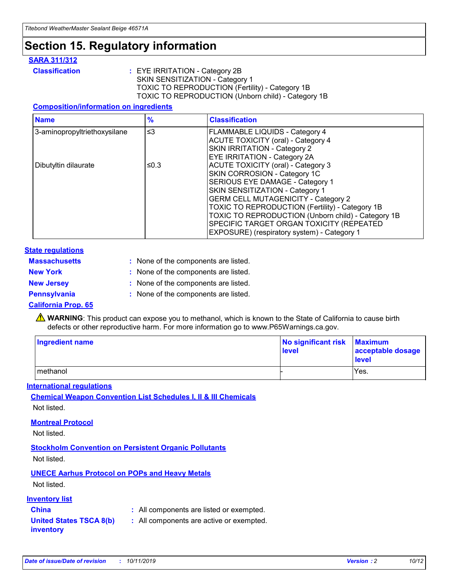## **Section 15. Regulatory information**

#### **SARA 311/312**

**Classification :** EYE IRRITATION - Category 2B SKIN SENSITIZATION - Category 1 TOXIC TO REPRODUCTION (Fertility) - Category 1B TOXIC TO REPRODUCTION (Unborn child) - Category 1B

#### **Composition/information on ingredients**

| <b>Name</b>                  | $\frac{9}{6}$ | <b>Classification</b>                                                                                            |
|------------------------------|---------------|------------------------------------------------------------------------------------------------------------------|
| 3-aminopropyltriethoxysilane | $\leq$ 3      | <b>FLAMMABLE LIQUIDS - Category 4</b><br><b>ACUTE TOXICITY (oral) - Category 4</b>                               |
|                              |               | SKIN IRRITATION - Category 2<br>EYE IRRITATION - Category 2A                                                     |
| Dibutyltin dilaurate         | ≤0.3          | ACUTE TOXICITY (oral) - Category 3<br>SKIN CORROSION - Category 1C                                               |
|                              |               | SERIOUS EYE DAMAGE - Category 1<br>SKIN SENSITIZATION - Category 1<br><b>GERM CELL MUTAGENICITY - Category 2</b> |
|                              |               | TOXIC TO REPRODUCTION (Fertility) - Category 1B<br>TOXIC TO REPRODUCTION (Unborn child) - Category 1B            |
|                              |               | SPECIFIC TARGET ORGAN TOXICITY (REPEATED<br>EXPOSURE) (respiratory system) - Category 1                          |

#### **State regulations**

| <b>Massachusetts</b> | : None of the components are listed. |
|----------------------|--------------------------------------|
| <b>New York</b>      | : None of the components are listed. |
| <b>New Jersey</b>    | : None of the components are listed. |
| <b>Pennsylvania</b>  | : None of the components are listed. |

#### **California Prop. 65**

**A** WARNING: This product can expose you to methanol, which is known to the State of California to cause birth defects or other reproductive harm. For more information go to www.P65Warnings.ca.gov.

| <b>Ingredient name</b> | No significant risk Maximum<br>level | acceptable dosage<br>level |
|------------------------|--------------------------------------|----------------------------|
| methanol               |                                      | Yes.                       |

#### **International regulations**

**Chemical Weapon Convention List Schedules I, II & III Chemicals** Not listed.

#### **Montreal Protocol**

Not listed.

#### **Stockholm Convention on Persistent Organic Pollutants**

Not listed.

### **UNECE Aarhus Protocol on POPs and Heavy Metals**

Not listed.

#### **Inventory list**

### **China :** All components are listed or exempted.

#### **United States TSCA 8(b) inventory :** All components are active or exempted.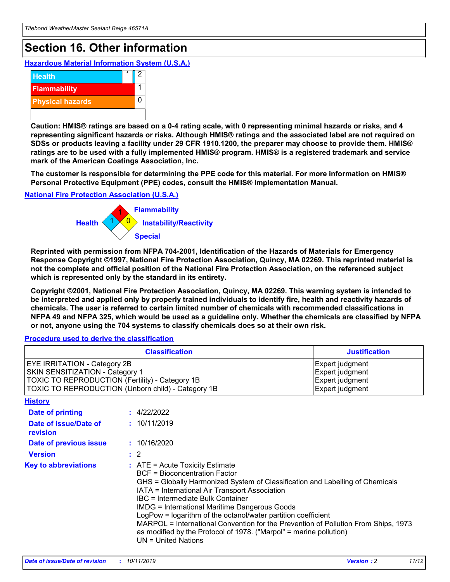## **Section 16. Other information**

**Hazardous Material Information System (U.S.A.)**



**Caution: HMIS® ratings are based on a 0-4 rating scale, with 0 representing minimal hazards or risks, and 4 representing significant hazards or risks. Although HMIS® ratings and the associated label are not required on SDSs or products leaving a facility under 29 CFR 1910.1200, the preparer may choose to provide them. HMIS® ratings are to be used with a fully implemented HMIS® program. HMIS® is a registered trademark and service mark of the American Coatings Association, Inc.**

**The customer is responsible for determining the PPE code for this material. For more information on HMIS® Personal Protective Equipment (PPE) codes, consult the HMIS® Implementation Manual.**

#### **National Fire Protection Association (U.S.A.)**



**Reprinted with permission from NFPA 704-2001, Identification of the Hazards of Materials for Emergency Response Copyright ©1997, National Fire Protection Association, Quincy, MA 02269. This reprinted material is not the complete and official position of the National Fire Protection Association, on the referenced subject which is represented only by the standard in its entirety.**

**Copyright ©2001, National Fire Protection Association, Quincy, MA 02269. This warning system is intended to be interpreted and applied only by properly trained individuals to identify fire, health and reactivity hazards of chemicals. The user is referred to certain limited number of chemicals with recommended classifications in NFPA 49 and NFPA 325, which would be used as a guideline only. Whether the chemicals are classified by NFPA or not, anyone using the 704 systems to classify chemicals does so at their own risk.**

**Procedure used to derive the classification**

| <b>Classification</b>                                                                                                                                                    |                                                                                                                                                  | <b>Justification</b>                                                                                                                                                                                                                                                                                                                                                                                                 |  |
|--------------------------------------------------------------------------------------------------------------------------------------------------------------------------|--------------------------------------------------------------------------------------------------------------------------------------------------|----------------------------------------------------------------------------------------------------------------------------------------------------------------------------------------------------------------------------------------------------------------------------------------------------------------------------------------------------------------------------------------------------------------------|--|
| EYE IRRITATION - Category 2B<br>SKIN SENSITIZATION - Category 1<br>TOXIC TO REPRODUCTION (Fertility) - Category 1B<br>TOXIC TO REPRODUCTION (Unborn child) - Category 1B |                                                                                                                                                  | Expert judgment<br>Expert judgment<br>Expert judgment<br>Expert judgment                                                                                                                                                                                                                                                                                                                                             |  |
| <b>History</b>                                                                                                                                                           |                                                                                                                                                  |                                                                                                                                                                                                                                                                                                                                                                                                                      |  |
| Date of printing                                                                                                                                                         | : 4/22/2022                                                                                                                                      |                                                                                                                                                                                                                                                                                                                                                                                                                      |  |
| Date of issue/Date of<br>revision                                                                                                                                        | : 10/11/2019                                                                                                                                     |                                                                                                                                                                                                                                                                                                                                                                                                                      |  |
| Date of previous issue                                                                                                                                                   | : 10/16/2020                                                                                                                                     |                                                                                                                                                                                                                                                                                                                                                                                                                      |  |
| <b>Version</b>                                                                                                                                                           | $\therefore$ 2                                                                                                                                   |                                                                                                                                                                                                                                                                                                                                                                                                                      |  |
| <b>Key to abbreviations</b>                                                                                                                                              | $\therefore$ ATE = Acute Toxicity Estimate<br><b>BCF</b> = Bioconcentration Factor<br>IBC = Intermediate Bulk Container<br>$UN = United Nations$ | GHS = Globally Harmonized System of Classification and Labelling of Chemicals<br>IATA = International Air Transport Association<br><b>IMDG = International Maritime Dangerous Goods</b><br>LogPow = logarithm of the octanol/water partition coefficient<br>MARPOL = International Convention for the Prevention of Pollution From Ships, 1973<br>as modified by the Protocol of 1978. ("Marpol" = marine pollution) |  |